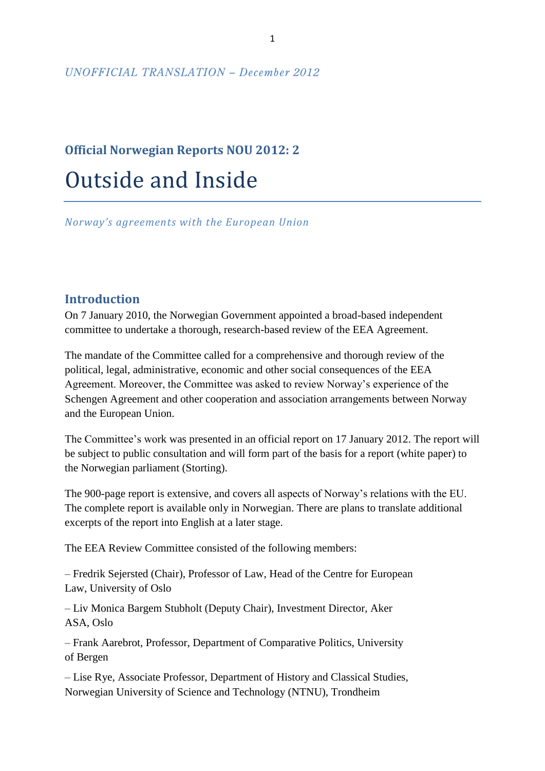#### *UNOFFICIAL TRANSLATION – December 2012*

# **Official Norwegian Reports NOU 2012: 2** Outside and Inside

*Norway's agreements with the European Union*

# **Introduction**

On 7 January 2010, the Norwegian Government appointed a broad-based independent committee to undertake a thorough, research-based review of the EEA Agreement.

The mandate of the Committee called for a comprehensive and thorough review of the political, legal, administrative, economic and other social consequences of the EEA Agreement. Moreover, the Committee was asked to review Norway's experience of the Schengen Agreement and other cooperation and association arrangements between Norway and the European Union.

The Committee's work was presented in an official report on 17 January 2012. The report will be subject to public consultation and will form part of the basis for a report (white paper) to the Norwegian parliament (Storting).

The 900-page report is extensive, and covers all aspects of Norway's relations with the EU. The complete report is available only in Norwegian. There are plans to translate additional excerpts of the report into English at a later stage.

The EEA Review Committee consisted of the following members:

– Fredrik Sejersted (Chair), Professor of Law, Head of the Centre for European Law, University of Oslo

– Liv Monica Bargem Stubholt (Deputy Chair), Investment Director, Aker ASA, Oslo

– Frank Aarebrot, Professor, Department of Comparative Politics, University of Bergen

– Lise Rye, Associate Professor, Department of History and Classical Studies, Norwegian University of Science and Technology (NTNU), Trondheim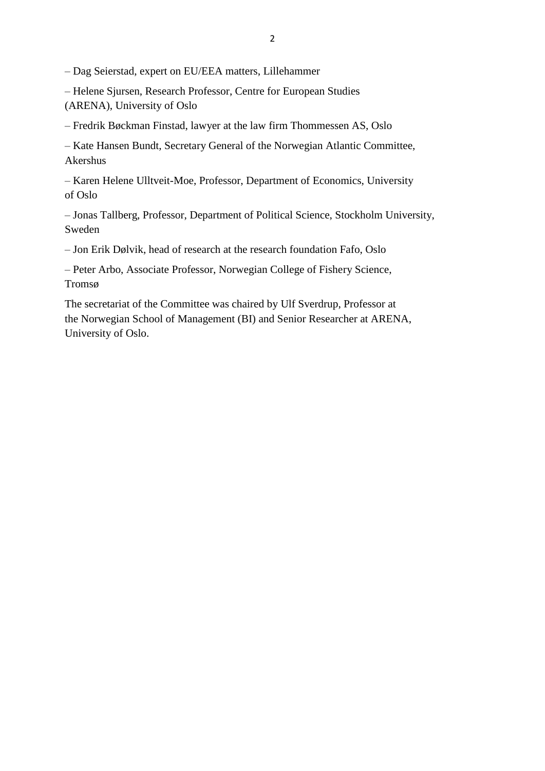– Dag Seierstad, expert on EU/EEA matters, Lillehammer

– Helene Sjursen, Research Professor, Centre for European Studies (ARENA), University of Oslo

– Fredrik Bøckman Finstad, lawyer at the law firm Thommessen AS, Oslo

– Kate Hansen Bundt, Secretary General of the Norwegian Atlantic Committee, Akershus

– Karen Helene Ulltveit-Moe, Professor, Department of Economics, University of Oslo

– Jonas Tallberg, Professor, Department of Political Science, Stockholm University, Sweden

– Jon Erik Dølvik, head of research at the research foundation Fafo, Oslo

– Peter Arbo, Associate Professor, Norwegian College of Fishery Science, Tromsø

The secretariat of the Committee was chaired by Ulf Sverdrup, Professor at the Norwegian School of Management (BI) and Senior Researcher at ARENA, University of Oslo.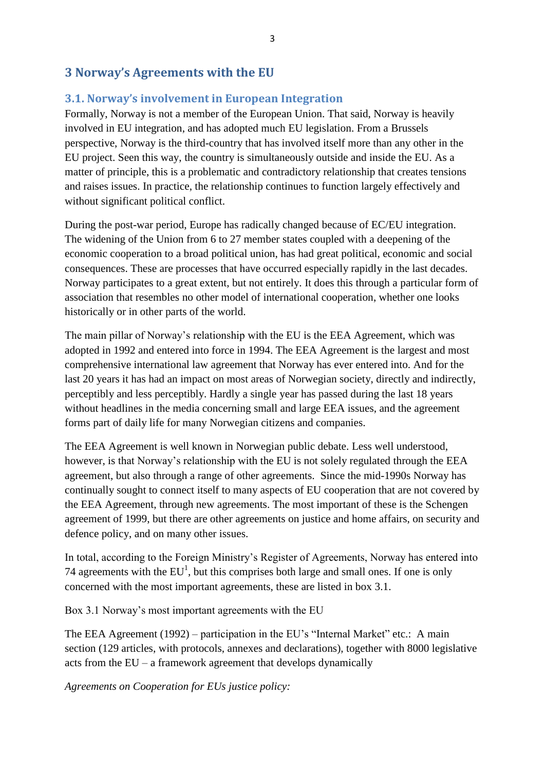# **3 Norway's Agreements with the EU**

### **3.1. Norway's involvement in European Integration**

Formally, Norway is not a member of the European Union. That said, Norway is heavily involved in EU integration, and has adopted much EU legislation. From a Brussels perspective, Norway is the third-country that has involved itself more than any other in the EU project. Seen this way, the country is simultaneously outside and inside the EU. As a matter of principle, this is a problematic and contradictory relationship that creates tensions and raises issues. In practice, the relationship continues to function largely effectively and without significant political conflict.

During the post-war period, Europe has radically changed because of EC/EU integration. The widening of the Union from 6 to 27 member states coupled with a deepening of the economic cooperation to a broad political union, has had great political, economic and social consequences. These are processes that have occurred especially rapidly in the last decades. Norway participates to a great extent, but not entirely. It does this through a particular form of association that resembles no other model of international cooperation, whether one looks historically or in other parts of the world.

The main pillar of Norway's relationship with the EU is the EEA Agreement, which was adopted in 1992 and entered into force in 1994. The EEA Agreement is the largest and most comprehensive international law agreement that Norway has ever entered into. And for the last 20 years it has had an impact on most areas of Norwegian society, directly and indirectly, perceptibly and less perceptibly. Hardly a single year has passed during the last 18 years without headlines in the media concerning small and large EEA issues, and the agreement forms part of daily life for many Norwegian citizens and companies.

The EEA Agreement is well known in Norwegian public debate. Less well understood, however, is that Norway's relationship with the EU is not solely regulated through the EEA agreement, but also through a range of other agreements. Since the mid-1990s Norway has continually sought to connect itself to many aspects of EU cooperation that are not covered by the EEA Agreement, through new agreements. The most important of these is the Schengen agreement of 1999, but there are other agreements on justice and home affairs, on security and defence policy, and on many other issues.

In total, according to the Foreign Ministry's Register of Agreements, Norway has entered into 74 agreements with the  $EU<sup>1</sup>$ , but this comprises both large and small ones. If one is only concerned with the most important agreements, these are listed in box 3.1.

Box 3.1 Norway's most important agreements with the EU

The EEA Agreement (1992) – participation in the EU's "Internal Market" etc.: A main section (129 articles, with protocols, annexes and declarations), together with 8000 legislative acts from the EU – a framework agreement that develops dynamically

*Agreements on Cooperation for EUs justice policy:*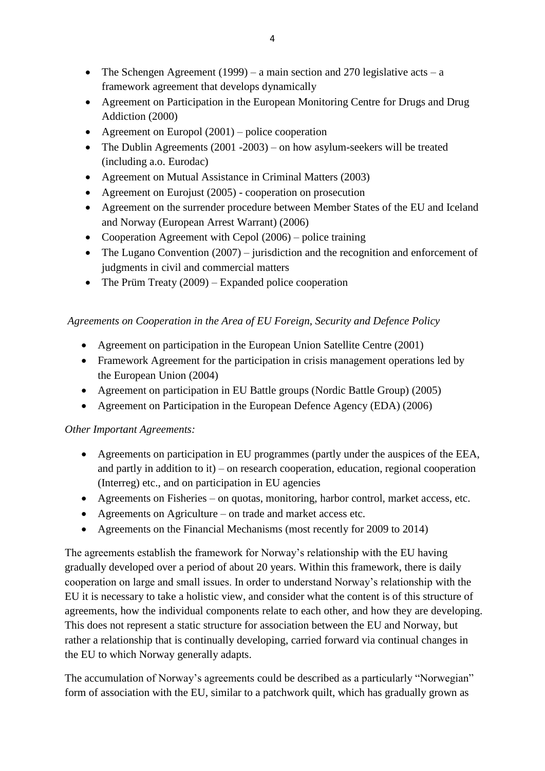- The Schengen Agreement (1999) a main section and 270 legislative acts a framework agreement that develops dynamically
- Agreement on Participation in the European Monitoring Centre for Drugs and Drug Addiction (2000)
- Agreement on Europol  $(2001)$  police cooperation
- The Dublin Agreements (2001 -2003) on how asylum-seekers will be treated (including a.o. Eurodac)
- Agreement on Mutual Assistance in Criminal Matters (2003)
- Agreement on Eurojust (2005) cooperation on prosecution
- Agreement on the surrender procedure between Member States of the EU and Iceland and Norway (European Arrest Warrant) (2006)
- Cooperation Agreement with Cepol (2006) police training
- The Lugano Convention (2007) jurisdiction and the recognition and enforcement of judgments in civil and commercial matters
- The Prüm Treaty  $(2009)$  Expanded police cooperation

# *Agreements on Cooperation in the Area of EU Foreign, Security and Defence Policy*

- Agreement on participation in the European Union Satellite Centre (2001)
- Framework Agreement for the participation in crisis management operations led by the European Union (2004)
- Agreement on participation in EU Battle groups (Nordic Battle Group) (2005)
- Agreement on Participation in the European Defence Agency (EDA) (2006)

# *Other Important Agreements:*

- Agreements on participation in EU programmes (partly under the auspices of the EEA, and partly in addition to it) – on research cooperation, education, regional cooperation (Interreg) etc., and on participation in EU agencies
- Agreements on Fisheries on quotas, monitoring, harbor control, market access, etc.
- Agreements on Agriculture on trade and market access etc.
- Agreements on the Financial Mechanisms (most recently for 2009 to 2014)

The agreements establish the framework for Norway's relationship with the EU having gradually developed over a period of about 20 years. Within this framework, there is daily cooperation on large and small issues. In order to understand Norway's relationship with the EU it is necessary to take a holistic view, and consider what the content is of this structure of agreements, how the individual components relate to each other, and how they are developing. This does not represent a static structure for association between the EU and Norway, but rather a relationship that is continually developing, carried forward via continual changes in the EU to which Norway generally adapts.

The accumulation of Norway's agreements could be described as a particularly "Norwegian" form of association with the EU, similar to a patchwork quilt, which has gradually grown as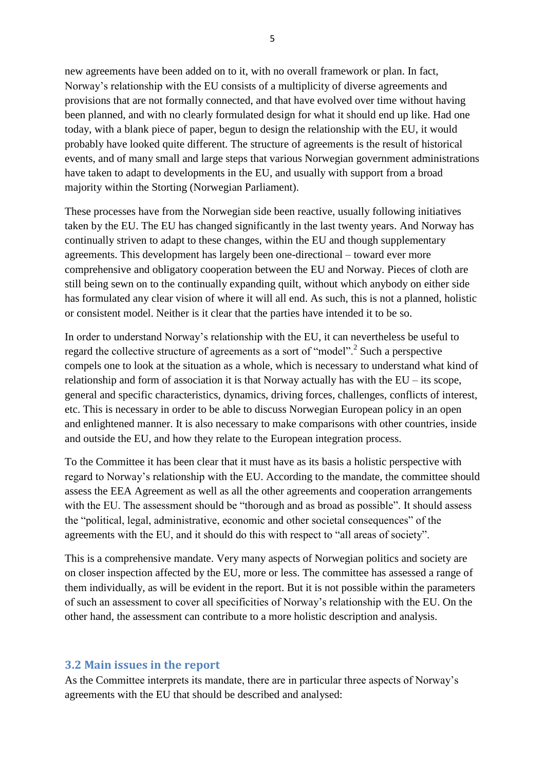new agreements have been added on to it, with no overall framework or plan. In fact, Norway's relationship with the EU consists of a multiplicity of diverse agreements and provisions that are not formally connected, and that have evolved over time without having been planned, and with no clearly formulated design for what it should end up like. Had one today, with a blank piece of paper, begun to design the relationship with the EU, it would probably have looked quite different. The structure of agreements is the result of historical events, and of many small and large steps that various Norwegian government administrations have taken to adapt to developments in the EU, and usually with support from a broad majority within the Storting (Norwegian Parliament).

These processes have from the Norwegian side been reactive, usually following initiatives taken by the EU. The EU has changed significantly in the last twenty years. And Norway has continually striven to adapt to these changes, within the EU and though supplementary agreements. This development has largely been one-directional – toward ever more comprehensive and obligatory cooperation between the EU and Norway. Pieces of cloth are still being sewn on to the continually expanding quilt, without which anybody on either side has formulated any clear vision of where it will all end. As such, this is not a planned, holistic or consistent model. Neither is it clear that the parties have intended it to be so.

In order to understand Norway's relationship with the EU, it can nevertheless be useful to regard the collective structure of agreements as a sort of "model".<sup>2</sup> Such a perspective compels one to look at the situation as a whole, which is necessary to understand what kind of relationship and form of association it is that Norway actually has with the EU – its scope, general and specific characteristics, dynamics, driving forces, challenges, conflicts of interest, etc. This is necessary in order to be able to discuss Norwegian European policy in an open and enlightened manner. It is also necessary to make comparisons with other countries, inside and outside the EU, and how they relate to the European integration process.

To the Committee it has been clear that it must have as its basis a holistic perspective with regard to Norway's relationship with the EU. According to the mandate, the committee should assess the EEA Agreement as well as all the other agreements and cooperation arrangements with the EU. The assessment should be "thorough and as broad as possible". It should assess the "political, legal, administrative, economic and other societal consequences" of the agreements with the EU, and it should do this with respect to "all areas of society".

This is a comprehensive mandate. Very many aspects of Norwegian politics and society are on closer inspection affected by the EU, more or less. The committee has assessed a range of them individually, as will be evident in the report. But it is not possible within the parameters of such an assessment to cover all specificities of Norway's relationship with the EU. On the other hand, the assessment can contribute to a more holistic description and analysis.

#### **3.2 Main issues in the report**

As the Committee interprets its mandate, there are in particular three aspects of Norway's agreements with the EU that should be described and analysed: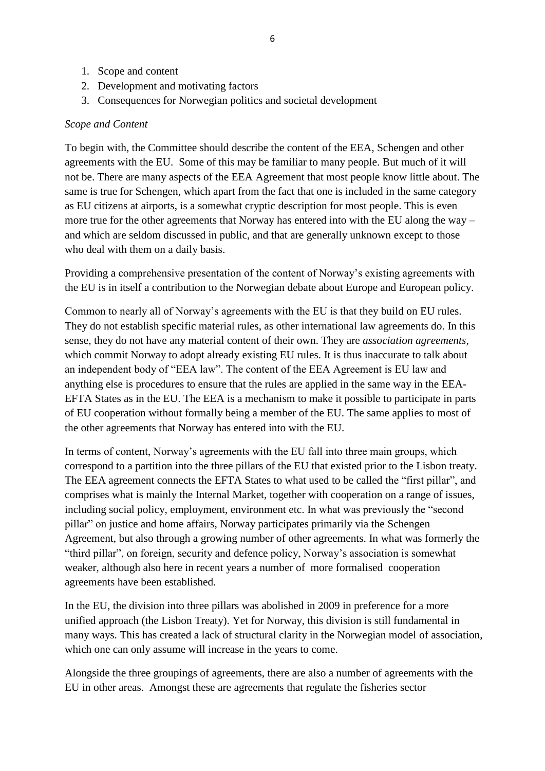- 1. Scope and content
- 2. Development and motivating factors
- 3. Consequences for Norwegian politics and societal development

#### *Scope and Content*

To begin with, the Committee should describe the content of the EEA, Schengen and other agreements with the EU. Some of this may be familiar to many people. But much of it will not be. There are many aspects of the EEA Agreement that most people know little about. The same is true for Schengen, which apart from the fact that one is included in the same category as EU citizens at airports, is a somewhat cryptic description for most people. This is even more true for the other agreements that Norway has entered into with the EU along the way – and which are seldom discussed in public, and that are generally unknown except to those who deal with them on a daily basis.

Providing a comprehensive presentation of the content of Norway's existing agreements with the EU is in itself a contribution to the Norwegian debate about Europe and European policy.

Common to nearly all of Norway's agreements with the EU is that they build on EU rules. They do not establish specific material rules, as other international law agreements do. In this sense, they do not have any material content of their own. They are *association agreements*, which commit Norway to adopt already existing EU rules. It is thus inaccurate to talk about an independent body of "EEA law". The content of the EEA Agreement is EU law and anything else is procedures to ensure that the rules are applied in the same way in the EEA-EFTA States as in the EU. The EEA is a mechanism to make it possible to participate in parts of EU cooperation without formally being a member of the EU. The same applies to most of the other agreements that Norway has entered into with the EU.

In terms of content, Norway's agreements with the EU fall into three main groups, which correspond to a partition into the three pillars of the EU that existed prior to the Lisbon treaty. The EEA agreement connects the EFTA States to what used to be called the "first pillar", and comprises what is mainly the Internal Market, together with cooperation on a range of issues, including social policy, employment, environment etc. In what was previously the "second pillar" on justice and home affairs, Norway participates primarily via the Schengen Agreement, but also through a growing number of other agreements. In what was formerly the "third pillar", on foreign, security and defence policy, Norway's association is somewhat weaker, although also here in recent years a number of more formalised cooperation agreements have been established.

In the EU, the division into three pillars was abolished in 2009 in preference for a more unified approach (the Lisbon Treaty). Yet for Norway, this division is still fundamental in many ways. This has created a lack of structural clarity in the Norwegian model of association, which one can only assume will increase in the years to come.

Alongside the three groupings of agreements, there are also a number of agreements with the EU in other areas. Amongst these are agreements that regulate the fisheries sector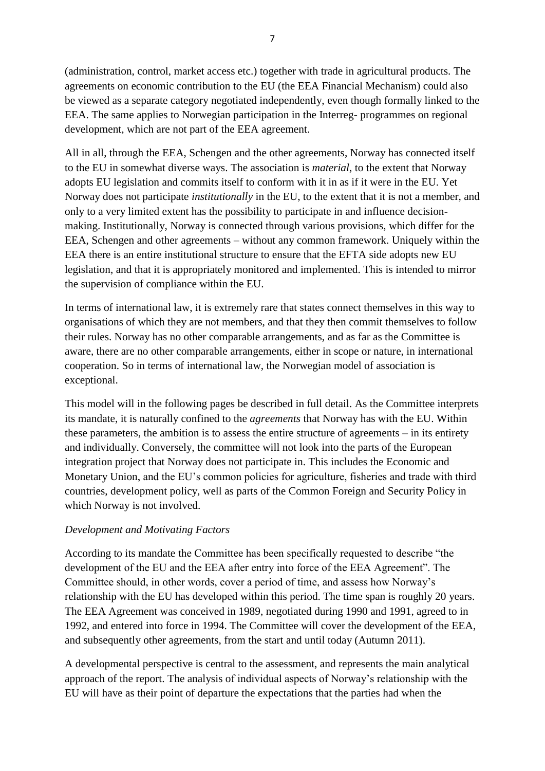(administration, control, market access etc.) together with trade in agricultural products. The agreements on economic contribution to the EU (the EEA Financial Mechanism) could also be viewed as a separate category negotiated independently, even though formally linked to the EEA. The same applies to Norwegian participation in the Interreg- programmes on regional development, which are not part of the EEA agreement.

All in all, through the EEA, Schengen and the other agreements, Norway has connected itself to the EU in somewhat diverse ways. The association is *material*, to the extent that Norway adopts EU legislation and commits itself to conform with it in as if it were in the EU. Yet Norway does not participate *institutionally* in the EU, to the extent that it is not a member, and only to a very limited extent has the possibility to participate in and influence decisionmaking. Institutionally, Norway is connected through various provisions, which differ for the EEA, Schengen and other agreements – without any common framework. Uniquely within the EEA there is an entire institutional structure to ensure that the EFTA side adopts new EU legislation, and that it is appropriately monitored and implemented. This is intended to mirror the supervision of compliance within the EU.

In terms of international law, it is extremely rare that states connect themselves in this way to organisations of which they are not members, and that they then commit themselves to follow their rules. Norway has no other comparable arrangements, and as far as the Committee is aware, there are no other comparable arrangements, either in scope or nature, in international cooperation. So in terms of international law, the Norwegian model of association is exceptional.

This model will in the following pages be described in full detail. As the Committee interprets its mandate, it is naturally confined to the *agreements* that Norway has with the EU. Within these parameters, the ambition is to assess the entire structure of agreements – in its entirety and individually. Conversely, the committee will not look into the parts of the European integration project that Norway does not participate in. This includes the Economic and Monetary Union, and the EU's common policies for agriculture, fisheries and trade with third countries, development policy, well as parts of the Common Foreign and Security Policy in which Norway is not involved.

# *Development and Motivating Factors*

According to its mandate the Committee has been specifically requested to describe "the development of the EU and the EEA after entry into force of the EEA Agreement". The Committee should, in other words, cover a period of time, and assess how Norway's relationship with the EU has developed within this period. The time span is roughly 20 years. The EEA Agreement was conceived in 1989, negotiated during 1990 and 1991, agreed to in 1992, and entered into force in 1994. The Committee will cover the development of the EEA, and subsequently other agreements, from the start and until today (Autumn 2011).

A developmental perspective is central to the assessment, and represents the main analytical approach of the report. The analysis of individual aspects of Norway's relationship with the EU will have as their point of departure the expectations that the parties had when the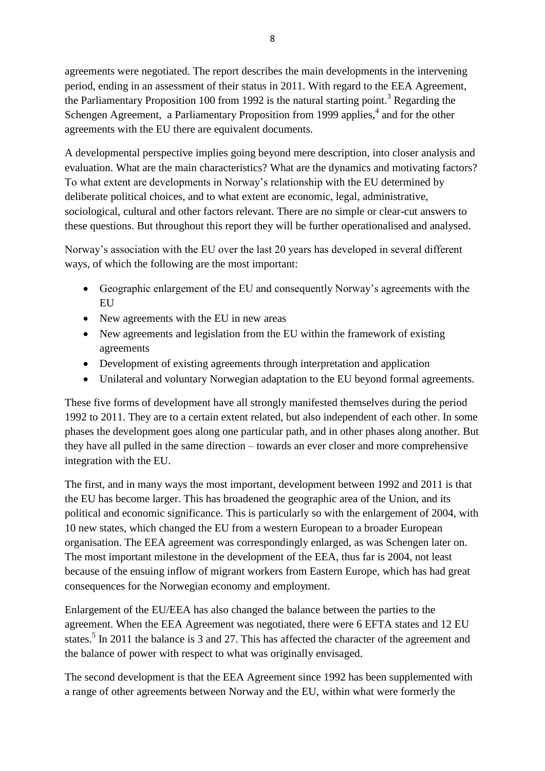agreements were negotiated. The report describes the main developments in the intervening period, ending in an assessment of their status in 2011. With regard to the EEA Agreement, the Parliamentary Proposition 100 from 1992 is the natural starting point.<sup>3</sup> Regarding the Schengen Agreement, a Parliamentary Proposition from 1999 applies,<sup>4</sup> and for the other agreements with the EU there are equivalent documents.

A developmental perspective implies going beyond mere description, into closer analysis and evaluation. What are the main characteristics? What are the dynamics and motivating factors? To what extent are developments in Norway's relationship with the EU determined by deliberate political choices, and to what extent are economic, legal, administrative, sociological, cultural and other factors relevant. There are no simple or clear-cut answers to these questions. But throughout this report they will be further operationalised and analysed.

Norway's association with the EU over the last 20 years has developed in several different ways, of which the following are the most important:

- Geographic enlargement of the EU and consequently Norway's agreements with the EU
- New agreements with the EU in new areas
- New agreements and legislation from the EU within the framework of existing agreements
- Development of existing agreements through interpretation and application
- Unilateral and voluntary Norwegian adaptation to the EU beyond formal agreements.

These five forms of development have all strongly manifested themselves during the period 1992 to 2011. They are to a certain extent related, but also independent of each other. In some phases the development goes along one particular path, and in other phases along another. But they have all pulled in the same direction – towards an ever closer and more comprehensive integration with the EU.

The first, and in many ways the most important, development between 1992 and 2011 is that the EU has become larger. This has broadened the geographic area of the Union, and its political and economic significance. This is particularly so with the enlargement of 2004, with 10 new states, which changed the EU from a western European to a broader European organisation. The EEA agreement was correspondingly enlarged, as was Schengen later on. The most important milestone in the development of the EEA, thus far is 2004, not least because of the ensuing inflow of migrant workers from Eastern Europe, which has had great consequences for the Norwegian economy and employment.

Enlargement of the EU/EEA has also changed the balance between the parties to the agreement. When the EEA Agreement was negotiated, there were 6 EFTA states and 12 EU states.<sup>5</sup> In 2011 the balance is 3 and 27. This has affected the character of the agreement and the balance of power with respect to what was originally envisaged.

The second development is that the EEA Agreement since 1992 has been supplemented with a range of other agreements between Norway and the EU, within what were formerly the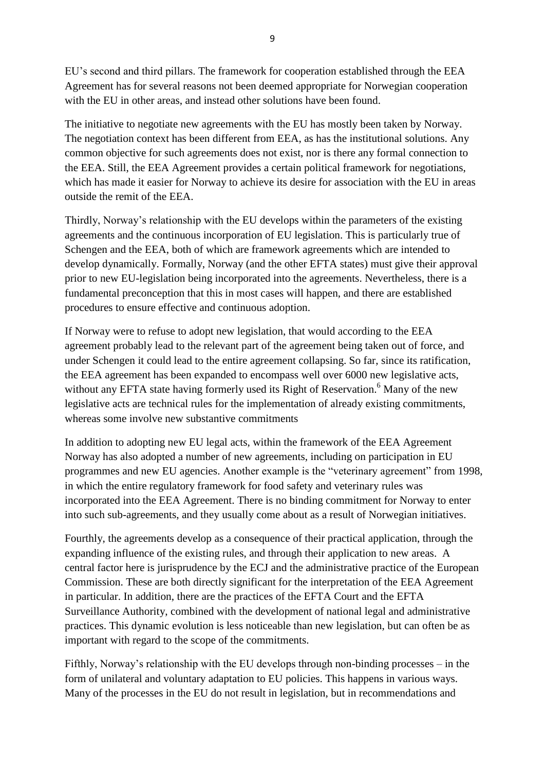EU's second and third pillars. The framework for cooperation established through the EEA Agreement has for several reasons not been deemed appropriate for Norwegian cooperation with the EU in other areas, and instead other solutions have been found.

The initiative to negotiate new agreements with the EU has mostly been taken by Norway. The negotiation context has been different from EEA, as has the institutional solutions. Any common objective for such agreements does not exist, nor is there any formal connection to the EEA. Still, the EEA Agreement provides a certain political framework for negotiations, which has made it easier for Norway to achieve its desire for association with the EU in areas outside the remit of the EEA.

Thirdly, Norway's relationship with the EU develops within the parameters of the existing agreements and the continuous incorporation of EU legislation. This is particularly true of Schengen and the EEA, both of which are framework agreements which are intended to develop dynamically. Formally, Norway (and the other EFTA states) must give their approval prior to new EU-legislation being incorporated into the agreements. Nevertheless, there is a fundamental preconception that this in most cases will happen, and there are established procedures to ensure effective and continuous adoption.

If Norway were to refuse to adopt new legislation, that would according to the EEA agreement probably lead to the relevant part of the agreement being taken out of force, and under Schengen it could lead to the entire agreement collapsing. So far, since its ratification, the EEA agreement has been expanded to encompass well over 6000 new legislative acts, without any EFTA state having formerly used its Right of Reservation.<sup>6</sup> Many of the new legislative acts are technical rules for the implementation of already existing commitments, whereas some involve new substantive commitments

In addition to adopting new EU legal acts, within the framework of the EEA Agreement Norway has also adopted a number of new agreements, including on participation in EU programmes and new EU agencies. Another example is the "veterinary agreement" from 1998, in which the entire regulatory framework for food safety and veterinary rules was incorporated into the EEA Agreement. There is no binding commitment for Norway to enter into such sub-agreements, and they usually come about as a result of Norwegian initiatives.

Fourthly, the agreements develop as a consequence of their practical application, through the expanding influence of the existing rules, and through their application to new areas. A central factor here is jurisprudence by the ECJ and the administrative practice of the European Commission. These are both directly significant for the interpretation of the EEA Agreement in particular. In addition, there are the practices of the EFTA Court and the EFTA Surveillance Authority, combined with the development of national legal and administrative practices. This dynamic evolution is less noticeable than new legislation, but can often be as important with regard to the scope of the commitments.

Fifthly, Norway's relationship with the EU develops through non-binding processes – in the form of unilateral and voluntary adaptation to EU policies. This happens in various ways. Many of the processes in the EU do not result in legislation, but in recommendations and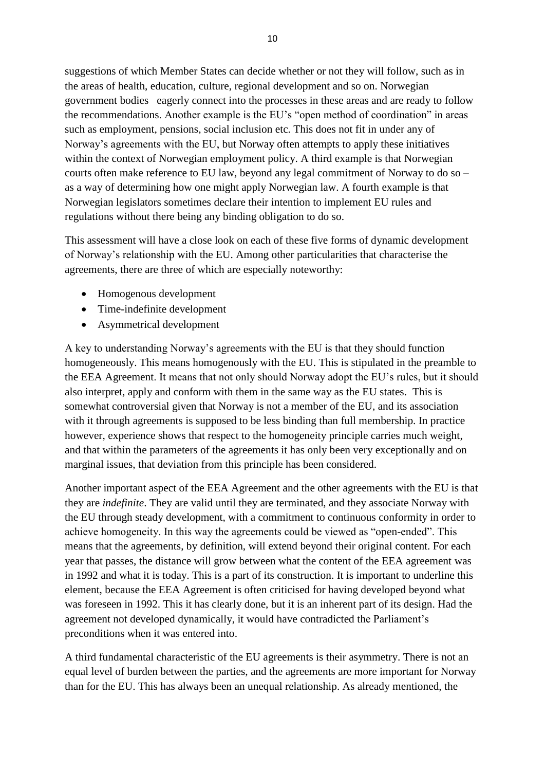suggestions of which Member States can decide whether or not they will follow, such as in the areas of health, education, culture, regional development and so on. Norwegian government bodies eagerly connect into the processes in these areas and are ready to follow the recommendations. Another example is the EU's "open method of coordination" in areas such as employment, pensions, social inclusion etc. This does not fit in under any of Norway's agreements with the EU, but Norway often attempts to apply these initiatives within the context of Norwegian employment policy. A third example is that Norwegian courts often make reference to EU law, beyond any legal commitment of Norway to do so – as a way of determining how one might apply Norwegian law. A fourth example is that Norwegian legislators sometimes declare their intention to implement EU rules and regulations without there being any binding obligation to do so.

This assessment will have a close look on each of these five forms of dynamic development of Norway's relationship with the EU. Among other particularities that characterise the agreements, there are three of which are especially noteworthy:

- Homogenous development
- Time-indefinite development
- Asymmetrical development

A key to understanding Norway's agreements with the EU is that they should function homogeneously. This means homogenously with the EU. This is stipulated in the preamble to the EEA Agreement. It means that not only should Norway adopt the EU's rules, but it should also interpret, apply and conform with them in the same way as the EU states. This is somewhat controversial given that Norway is not a member of the EU, and its association with it through agreements is supposed to be less binding than full membership. In practice however, experience shows that respect to the homogeneity principle carries much weight, and that within the parameters of the agreements it has only been very exceptionally and on marginal issues, that deviation from this principle has been considered.

Another important aspect of the EEA Agreement and the other agreements with the EU is that they are *indefinite*. They are valid until they are terminated, and they associate Norway with the EU through steady development, with a commitment to continuous conformity in order to achieve homogeneity. In this way the agreements could be viewed as "open-ended". This means that the agreements, by definition, will extend beyond their original content. For each year that passes, the distance will grow between what the content of the EEA agreement was in 1992 and what it is today. This is a part of its construction. It is important to underline this element, because the EEA Agreement is often criticised for having developed beyond what was foreseen in 1992. This it has clearly done, but it is an inherent part of its design. Had the agreement not developed dynamically, it would have contradicted the Parliament's preconditions when it was entered into.

A third fundamental characteristic of the EU agreements is their asymmetry. There is not an equal level of burden between the parties, and the agreements are more important for Norway than for the EU. This has always been an unequal relationship. As already mentioned, the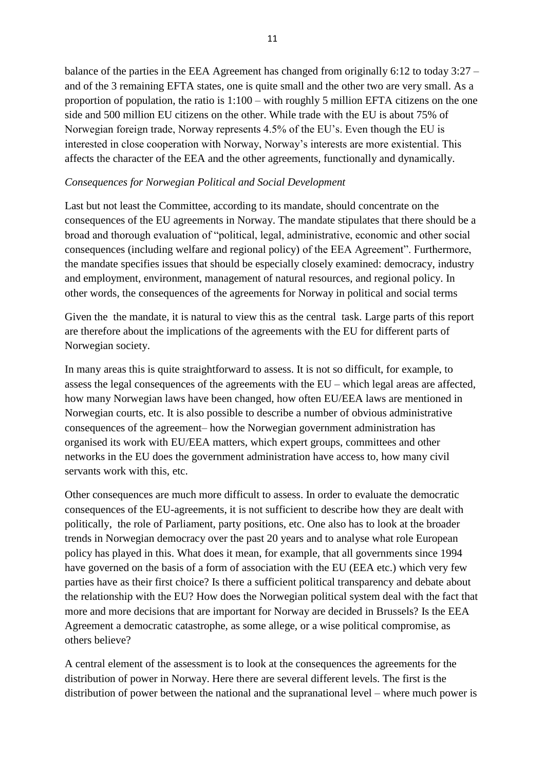balance of the parties in the EEA Agreement has changed from originally 6:12 to today 3:27 – and of the 3 remaining EFTA states, one is quite small and the other two are very small. As a proportion of population, the ratio is 1:100 – with roughly 5 million EFTA citizens on the one side and 500 million EU citizens on the other. While trade with the EU is about 75% of Norwegian foreign trade, Norway represents 4.5% of the EU's. Even though the EU is interested in close cooperation with Norway, Norway's interests are more existential. This affects the character of the EEA and the other agreements, functionally and dynamically.

#### *Consequences for Norwegian Political and Social Development*

Last but not least the Committee, according to its mandate, should concentrate on the consequences of the EU agreements in Norway. The mandate stipulates that there should be a broad and thorough evaluation of "political, legal, administrative, economic and other social consequences (including welfare and regional policy) of the EEA Agreement". Furthermore, the mandate specifies issues that should be especially closely examined: democracy, industry and employment, environment, management of natural resources, and regional policy. In other words, the consequences of the agreements for Norway in political and social terms

Given the the mandate, it is natural to view this as the central task. Large parts of this report are therefore about the implications of the agreements with the EU for different parts of Norwegian society.

In many areas this is quite straightforward to assess. It is not so difficult, for example, to assess the legal consequences of the agreements with the EU – which legal areas are affected, how many Norwegian laws have been changed, how often EU/EEA laws are mentioned in Norwegian courts, etc. It is also possible to describe a number of obvious administrative consequences of the agreement– how the Norwegian government administration has organised its work with EU/EEA matters, which expert groups, committees and other networks in the EU does the government administration have access to, how many civil servants work with this, etc.

Other consequences are much more difficult to assess. In order to evaluate the democratic consequences of the EU-agreements, it is not sufficient to describe how they are dealt with politically, the role of Parliament, party positions, etc. One also has to look at the broader trends in Norwegian democracy over the past 20 years and to analyse what role European policy has played in this. What does it mean, for example, that all governments since 1994 have governed on the basis of a form of association with the EU (EEA etc.) which very few parties have as their first choice? Is there a sufficient political transparency and debate about the relationship with the EU? How does the Norwegian political system deal with the fact that more and more decisions that are important for Norway are decided in Brussels? Is the EEA Agreement a democratic catastrophe, as some allege, or a wise political compromise, as others believe?

A central element of the assessment is to look at the consequences the agreements for the distribution of power in Norway. Here there are several different levels. The first is the distribution of power between the national and the supranational level – where much power is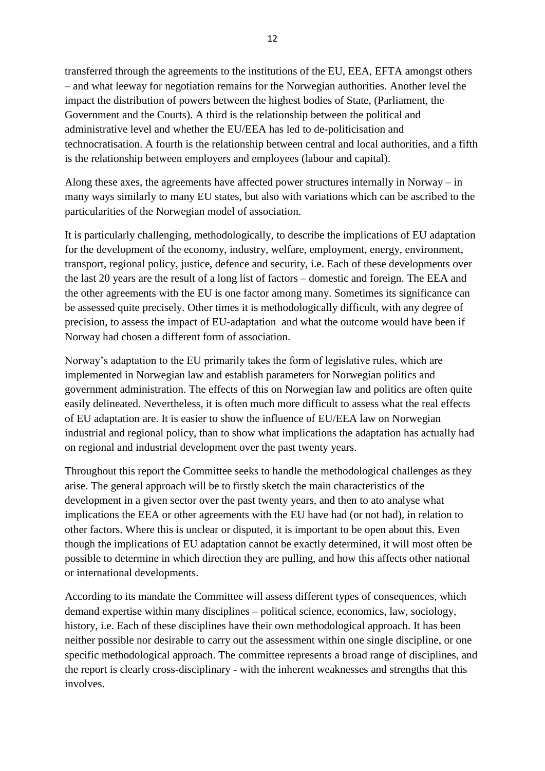transferred through the agreements to the institutions of the EU, EEA, EFTA amongst others – and what leeway for negotiation remains for the Norwegian authorities. Another level the impact the distribution of powers between the highest bodies of State, (Parliament, the Government and the Courts). A third is the relationship between the political and administrative level and whether the EU/EEA has led to de-politicisation and technocratisation. A fourth is the relationship between central and local authorities, and a fifth is the relationship between employers and employees (labour and capital).

Along these axes, the agreements have affected power structures internally in Norway – in many ways similarly to many EU states, but also with variations which can be ascribed to the particularities of the Norwegian model of association.

It is particularly challenging, methodologically, to describe the implications of EU adaptation for the development of the economy, industry, welfare, employment, energy, environment, transport, regional policy, justice, defence and security, i.e. Each of these developments over the last 20 years are the result of a long list of factors – domestic and foreign. The EEA and the other agreements with the EU is one factor among many. Sometimes its significance can be assessed quite precisely. Other times it is methodologically difficult, with any degree of precision, to assess the impact of EU-adaptation and what the outcome would have been if Norway had chosen a different form of association.

Norway's adaptation to the EU primarily takes the form of legislative rules, which are implemented in Norwegian law and establish parameters for Norwegian politics and government administration. The effects of this on Norwegian law and politics are often quite easily delineated. Nevertheless, it is often much more difficult to assess what the real effects of EU adaptation are. It is easier to show the influence of EU/EEA law on Norwegian industrial and regional policy, than to show what implications the adaptation has actually had on regional and industrial development over the past twenty years.

Throughout this report the Committee seeks to handle the methodological challenges as they arise. The general approach will be to firstly sketch the main characteristics of the development in a given sector over the past twenty years, and then to ato analyse what implications the EEA or other agreements with the EU have had (or not had), in relation to other factors. Where this is unclear or disputed, it is important to be open about this. Even though the implications of EU adaptation cannot be exactly determined, it will most often be possible to determine in which direction they are pulling, and how this affects other national or international developments.

According to its mandate the Committee will assess different types of consequences, which demand expertise within many disciplines – political science, economics, law, sociology, history, i.e. Each of these disciplines have their own methodological approach. It has been neither possible nor desirable to carry out the assessment within one single discipline, or one specific methodological approach. The committee represents a broad range of disciplines, and the report is clearly cross-disciplinary - with the inherent weaknesses and strengths that this involves.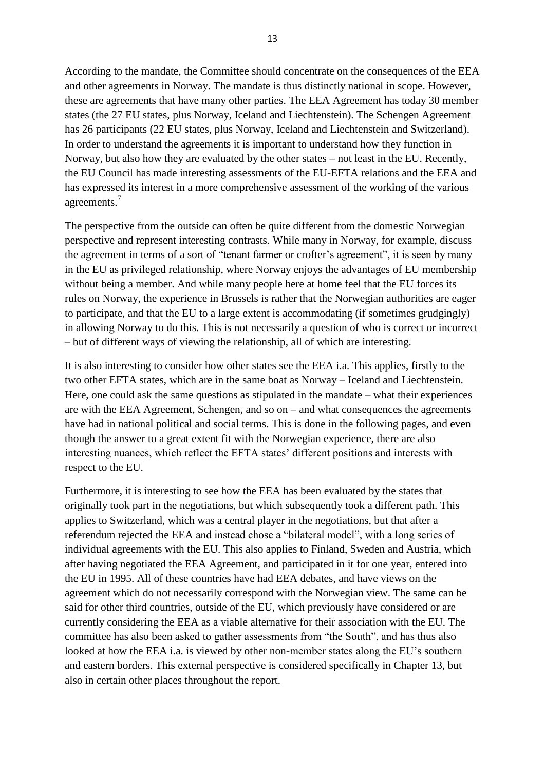According to the mandate, the Committee should concentrate on the consequences of the EEA and other agreements in Norway. The mandate is thus distinctly national in scope. However, these are agreements that have many other parties. The EEA Agreement has today 30 member states (the 27 EU states, plus Norway, Iceland and Liechtenstein). The Schengen Agreement has 26 participants (22 EU states, plus Norway, Iceland and Liechtenstein and Switzerland). In order to understand the agreements it is important to understand how they function in Norway, but also how they are evaluated by the other states – not least in the EU. Recently, the EU Council has made interesting assessments of the EU-EFTA relations and the EEA and has expressed its interest in a more comprehensive assessment of the working of the various agreements.<sup>7</sup>

The perspective from the outside can often be quite different from the domestic Norwegian perspective and represent interesting contrasts. While many in Norway, for example, discuss the agreement in terms of a sort of "tenant farmer or crofter's agreement", it is seen by many in the EU as privileged relationship, where Norway enjoys the advantages of EU membership without being a member. And while many people here at home feel that the EU forces its rules on Norway, the experience in Brussels is rather that the Norwegian authorities are eager to participate, and that the EU to a large extent is accommodating (if sometimes grudgingly) in allowing Norway to do this. This is not necessarily a question of who is correct or incorrect – but of different ways of viewing the relationship, all of which are interesting.

It is also interesting to consider how other states see the EEA i.a. This applies, firstly to the two other EFTA states, which are in the same boat as Norway – Iceland and Liechtenstein. Here, one could ask the same questions as stipulated in the mandate – what their experiences are with the EEA Agreement, Schengen, and so on – and what consequences the agreements have had in national political and social terms. This is done in the following pages, and even though the answer to a great extent fit with the Norwegian experience, there are also interesting nuances, which reflect the EFTA states' different positions and interests with respect to the EU.

Furthermore, it is interesting to see how the EEA has been evaluated by the states that originally took part in the negotiations, but which subsequently took a different path. This applies to Switzerland, which was a central player in the negotiations, but that after a referendum rejected the EEA and instead chose a "bilateral model", with a long series of individual agreements with the EU. This also applies to Finland, Sweden and Austria, which after having negotiated the EEA Agreement, and participated in it for one year, entered into the EU in 1995. All of these countries have had EEA debates, and have views on the agreement which do not necessarily correspond with the Norwegian view. The same can be said for other third countries, outside of the EU, which previously have considered or are currently considering the EEA as a viable alternative for their association with the EU. The committee has also been asked to gather assessments from "the South", and has thus also looked at how the EEA i.a. is viewed by other non-member states along the EU's southern and eastern borders. This external perspective is considered specifically in Chapter 13, but also in certain other places throughout the report.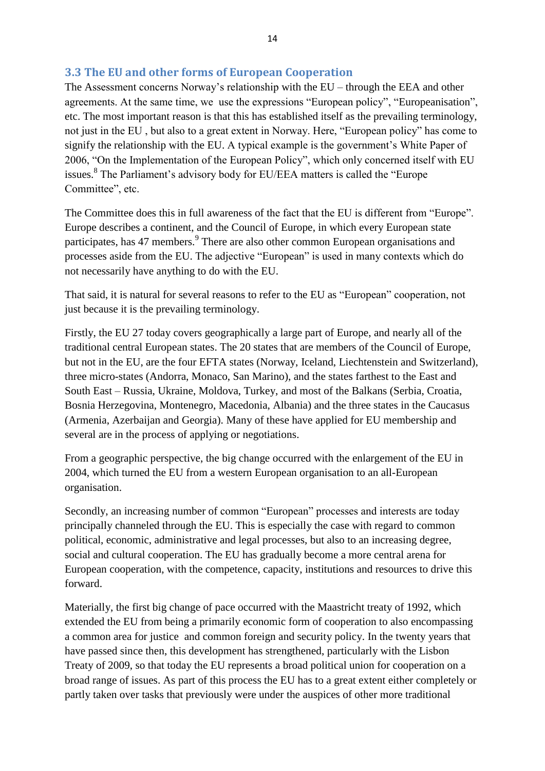#### **3.3 The EU and other forms of European Cooperation**

The Assessment concerns Norway's relationship with the EU – through the EEA and other agreements. At the same time, we use the expressions "European policy", "Europeanisation", etc. The most important reason is that this has established itself as the prevailing terminology, not just in the EU , but also to a great extent in Norway. Here, "European policy" has come to signify the relationship with the EU. A typical example is the government's White Paper of 2006, "On the Implementation of the European Policy", which only concerned itself with EU issues.<sup>8</sup> The Parliament's advisory body for EU/EEA matters is called the "Europe Committee", etc.

The Committee does this in full awareness of the fact that the EU is different from "Europe". Europe describes a continent, and the Council of Europe, in which every European state participates, has 47 members.<sup>9</sup> There are also other common European organisations and processes aside from the EU. The adjective "European" is used in many contexts which do not necessarily have anything to do with the EU.

That said, it is natural for several reasons to refer to the EU as "European" cooperation, not just because it is the prevailing terminology.

Firstly, the EU 27 today covers geographically a large part of Europe, and nearly all of the traditional central European states. The 20 states that are members of the Council of Europe, but not in the EU, are the four EFTA states (Norway, Iceland, Liechtenstein and Switzerland), three micro-states (Andorra, Monaco, San Marino), and the states farthest to the East and South East – Russia, Ukraine, Moldova, Turkey, and most of the Balkans (Serbia, Croatia, Bosnia Herzegovina, Montenegro, Macedonia, Albania) and the three states in the Caucasus (Armenia, Azerbaijan and Georgia). Many of these have applied for EU membership and several are in the process of applying or negotiations.

From a geographic perspective, the big change occurred with the enlargement of the EU in 2004, which turned the EU from a western European organisation to an all-European organisation.

Secondly, an increasing number of common "European" processes and interests are today principally channeled through the EU. This is especially the case with regard to common political, economic, administrative and legal processes, but also to an increasing degree, social and cultural cooperation. The EU has gradually become a more central arena for European cooperation, with the competence, capacity, institutions and resources to drive this forward.

Materially, the first big change of pace occurred with the Maastricht treaty of 1992, which extended the EU from being a primarily economic form of cooperation to also encompassing a common area for justice and common foreign and security policy. In the twenty years that have passed since then, this development has strengthened, particularly with the Lisbon Treaty of 2009, so that today the EU represents a broad political union for cooperation on a broad range of issues. As part of this process the EU has to a great extent either completely or partly taken over tasks that previously were under the auspices of other more traditional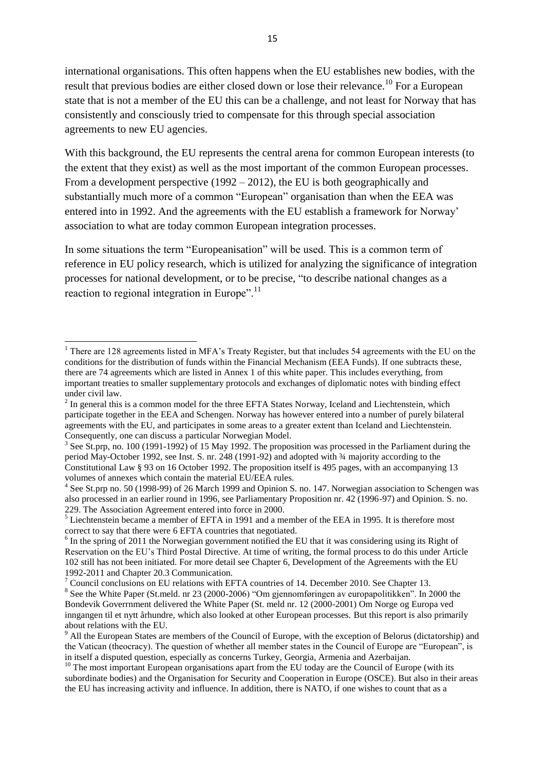international organisations. This often happens when the EU establishes new bodies, with the result that previous bodies are either closed down or lose their relevance.<sup>10</sup> For a European state that is not a member of the EU this can be a challenge, and not least for Norway that has consistently and consciously tried to compensate for this through special association agreements to new EU agencies.

With this background, the EU represents the central arena for common European interests (to the extent that they exist) as well as the most important of the common European processes. From a development perspective (1992 – 2012), the EU is both geographically and substantially much more of a common "European" organisation than when the EEA was entered into in 1992. And the agreements with the EU establish a framework for Norway' association to what are today common European integration processes.

In some situations the term "Europeanisation" will be used. This is a common term of reference in EU policy research, which is utilized for analyzing the significance of integration processes for national development, or to be precise, "to describe national changes as a reaction to regional integration in Europe".<sup>11</sup>

1

 $1$  There are 128 agreements listed in MFA's Treaty Register, but that includes 54 agreements with the EU on the conditions for the distribution of funds within the Financial Mechanism (EEA Funds). If one subtracts these, there are 74 agreements which are listed in Annex 1 of this white paper. This includes everything, from important treaties to smaller supplementary protocols and exchanges of diplomatic notes with binding effect under civil law.

 $2^{2}$  In general this is a common model for the three EFTA States Norway, Iceland and Liechtenstein, which participate together in the EEA and Schengen. Norway has however entered into a number of purely bilateral agreements with the EU, and participates in some areas to a greater extent than Iceland and Liechtenstein. Consequently, one can discuss a particular Norwegian Model.

 $3$  See St.prp, no. 100 (1991-1992) of 15 May 1992. The proposition was processed in the Parliament during the period May-October 1992, see Inst. S. nr. 248 (1991-92) and adopted with ¾ majority according to the Constitutional Law § 93 on 16 October 1992. The proposition itself is 495 pages, with an accompanying 13 volumes of annexes which contain the material EU/EEA rules.

<sup>&</sup>lt;sup>4</sup> See St.prp no. 50 (1998-99) of 26 March 1999 and Opinion S. no. 147. Norwegian association to Schengen was also processed in an earlier round in 1996, see Parliamentary Proposition nr. 42 (1996-97) and Opinion. S. no. 229. The Association Agreement entered into force in 2000.

 $5$  Liechtenstein became a member of EFTA in 1991 and a member of the EEA in 1995. It is therefore most correct to say that there were 6 EFTA countries that negotiated.

<sup>&</sup>lt;sup>6</sup> In the spring of 2011 the Norwegian government notified the EU that it was considering using its Right of Reservation on the EU's Third Postal Directive. At time of writing, the formal process to do this under Article 102 still has not been initiated. For more detail see Chapter 6, Development of the Agreements with the EU 1992-2011 and Chapter 20.3 Communication.

<sup>&</sup>lt;sup>7</sup> Council conclusions on EU relations with EFTA countries of 14. December 2010. See Chapter 13.

<sup>&</sup>lt;sup>8</sup> See the White Paper (St.meld. nr 23 (2000-2006) "Om gjennomføringen av europapolitikken". In 2000 the Bondevik Goverrnment delivered the White Paper (St. meld nr. 12 (2000-2001) Om Norge og Europa ved inngangen til et nytt århundre, which also looked at other European processes. But this report is also primarily about relations with the EU.

<sup>&</sup>lt;sup>9</sup> All the European States are members of the Council of Europe, with the exception of Belorus (dictatorship) and the Vatican (theocracy). The question of whether all member states in the Council of Europe are "European", is in itself a disputed question, especially as concerns Turkey, Georgia, Armenia and Azerbaijan.

<sup>&</sup>lt;sup>10</sup> The most important European organisations apart from the EU today are the Council of Europe (with its subordinate bodies) and the Organisation for Security and Cooperation in Europe (OSCE). But also in their areas the EU has increasing activity and influence. In addition, there is NATO, if one wishes to count that as a